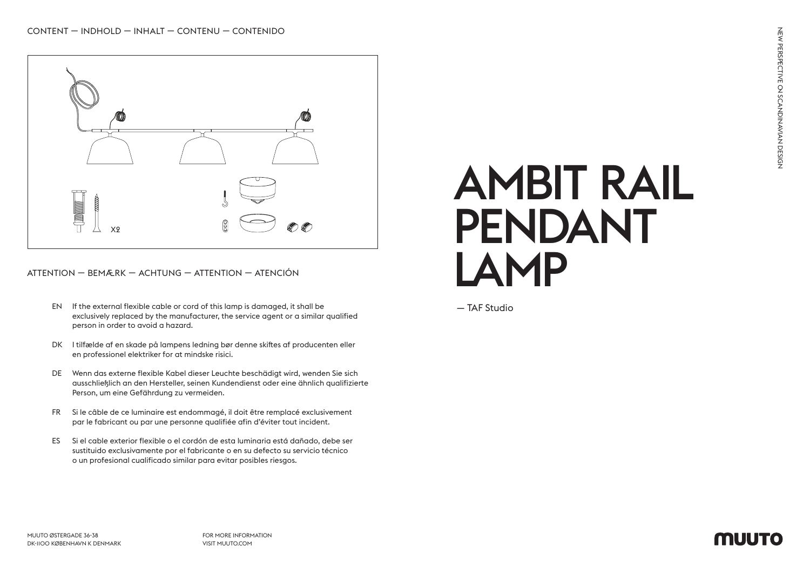

ATTENTION — BEMÆRK — ACHTUNG — ATTENTION — ATENCIÓN

- EN If the external flexible cable or cord of this lamp is damaged, it shall be exclusively replaced by the manufacturer, the service agent or a similar qualified person in order to avoid a hazard.
- DK I tilfælde af en skade på lampens ledning bør denne skiftes af producenten eller en professionel elektriker for at mindske risici.
- DE Wenn das externe flexible Kabel dieser Leuchte beschädigt wird, wenden Sie sich ausschließlich an den Hersteller, seinen Kundendienst oder eine ähnlich qualifizierte Person, um eine Gefährdung zu vermeiden.
- FR Si le câble de ce luminaire est endommagé, il doit être remplacé exclusivement par le fabricant ou par une personne qualifiée afin d'éviter tout incident.
- ES Si el cable exterior flexible o el cordón de esta luminaria está dañado, debe ser sustituido exclusivamente por el fabricante o en su defecto su servicio técnico o un profesional cualificado similar para evitar posibles riesgos.

## AMBIT RAIL PENDANT LAMP

— TAF Studio